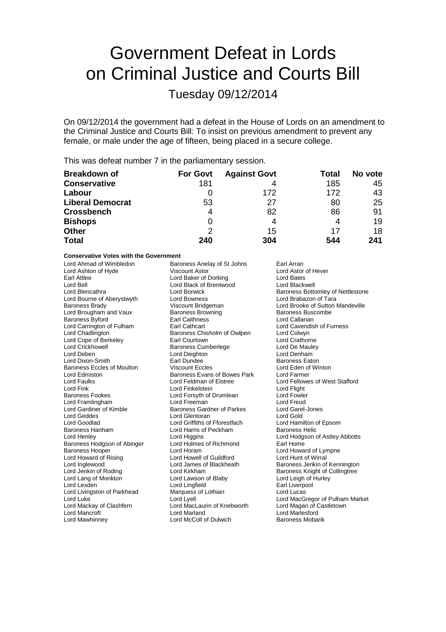# Government Defeat in Lords on Criminal Justice and Courts Bill

Tuesday 09/12/2014

On 09/12/2014 the government had a defeat in the House of Lords on an amendment to the Criminal Justice and Courts Bill: To insist on previous amendment to prevent any female, or male under the age of fifteen, being placed in a secure college.

This was defeat number 7 in the parliamentary session.

| <b>Breakdown of</b>     | <b>For Govt</b> | <b>Against Govt</b> | Total | No vote |
|-------------------------|-----------------|---------------------|-------|---------|
| <b>Conservative</b>     | 181             |                     | 185   | 45      |
| Labour                  |                 | 172                 | 172   | 43      |
| <b>Liberal Democrat</b> | 53              | 27                  | 80    | 25      |
| <b>Crossbench</b>       | 4               | 82                  | 86    | 91      |
| <b>Bishops</b>          | 0               | 4                   | 4     | 19      |
| <b>Other</b>            | 2               | 15                  | 17    | 18      |
| <b>Total</b>            | 240             | 304                 | 544   | 241     |

**Conservative Votes with the Government**

| Lord Ahmad of Wimbledon<br>Lord Ashton of Hyde<br>Earl Attlee<br>Lord Bell<br>Lord Blencathra<br>Lord Bourne of Aberystwyth<br><b>Baroness Brady</b><br>Lord Brougham and Vaux<br><b>Baroness Byford</b><br>Lord Carrington of Fulham<br>Lord Chadlington<br>Lord Cope of Berkeley<br><b>Lord Crickhowell</b><br>Lord Deben<br>Lord Dixon-Smith<br>Baroness Eccles of Moulton<br>Lord Edmiston<br>Lord Faulks<br>Lord Fink<br><b>Baroness Fookes</b><br>Lord Framlingham<br>Lord Gardiner of Kimble<br>Lord Geddes<br>Lord Goodlad<br><b>Baroness Hanham</b><br>Lord Henley<br>Baroness Hodgson of Abinger<br><b>Baroness Hooper</b><br>Lord Howard of Rising<br>Lord Inglewood<br>Lord Jenkin of Roding<br>Lord Lang of Monkton<br>Lord Lexden<br>Lord Livingston of Parkhead<br>Lord Luke | Baroness Anelay of St Johns<br><b>Viscount Astor</b><br>Lord Baker of Dorking<br>Lord Black of Brentwood<br><b>Lord Borwick</b><br><b>Lord Bowness</b><br>Viscount Bridgeman<br><b>Baroness Browning</b><br><b>Earl Caithness</b><br><b>Earl Cathcart</b><br>Baroness Chisholm of Owlpen<br>Earl Courtown<br><b>Baroness Cumberlege</b><br>Lord Deighton<br>Earl Dundee<br><b>Viscount Eccles</b><br>Baroness Evans of Bowes Park<br>Lord Feldman of Elstree<br>Lord Finkelstein<br>Lord Forsyth of Drumlean<br>Lord Freeman<br>Baroness Gardner of Parkes<br>Lord Glentoran<br>Lord Griffiths of Fforestfach<br>Lord Harris of Peckham<br>Lord Higgins<br>Lord Holmes of Richmond<br>Lord Horam<br>Lord Howell of Guildford<br>Lord James of Blackheath<br>Lord Kirkham<br>Lord Lawson of Blaby<br>Lord Lingfield<br>Marquess of Lothian<br>Lord Lyell | Earl Arran<br>Lord Astor of Hever<br>Lord Bates<br>Lord Blackwell<br>Baroness Bottomley of Nettlestone<br>Lord Brabazon of Tara<br>Lord Brooke of Sutton Mandeville<br><b>Baroness Buscombe</b><br>Lord Callanan<br>Lord Cavendish of Furness<br>Lord Colwyn<br><b>Lord Crathorne</b><br>Lord De Maulev<br>Lord Denham<br>Baroness Eaton<br>Lord Eden of Winton<br>Lord Farmer<br>Lord Fellowes of West Stafford<br>Lord Flight<br><b>Lord Fowler</b><br>Lord Freud<br>Lord Garel-Jones<br>Lord Gold<br>Lord Hamilton of Epsom<br><b>Baroness Helic</b><br>Lord Hodgson of Astley Abbotts<br>Earl Home<br>Lord Howard of Lympne<br>Lord Hunt of Wirral<br>Baroness Jenkin of Kennington<br>Baroness Knight of Collingtree<br>Lord Leigh of Hurley<br>Earl Liverpool<br>Lord Lucas<br>Lord MacGregor of Pulham Market |
|---------------------------------------------------------------------------------------------------------------------------------------------------------------------------------------------------------------------------------------------------------------------------------------------------------------------------------------------------------------------------------------------------------------------------------------------------------------------------------------------------------------------------------------------------------------------------------------------------------------------------------------------------------------------------------------------------------------------------------------------------------------------------------------------|---------------------------------------------------------------------------------------------------------------------------------------------------------------------------------------------------------------------------------------------------------------------------------------------------------------------------------------------------------------------------------------------------------------------------------------------------------------------------------------------------------------------------------------------------------------------------------------------------------------------------------------------------------------------------------------------------------------------------------------------------------------------------------------------------------------------------------------------------------|----------------------------------------------------------------------------------------------------------------------------------------------------------------------------------------------------------------------------------------------------------------------------------------------------------------------------------------------------------------------------------------------------------------------------------------------------------------------------------------------------------------------------------------------------------------------------------------------------------------------------------------------------------------------------------------------------------------------------------------------------------------------------------------------------------------------|
|                                                                                                                                                                                                                                                                                                                                                                                                                                                                                                                                                                                                                                                                                                                                                                                             |                                                                                                                                                                                                                                                                                                                                                                                                                                                                                                                                                                                                                                                                                                                                                                                                                                                         |                                                                                                                                                                                                                                                                                                                                                                                                                                                                                                                                                                                                                                                                                                                                                                                                                      |
|                                                                                                                                                                                                                                                                                                                                                                                                                                                                                                                                                                                                                                                                                                                                                                                             |                                                                                                                                                                                                                                                                                                                                                                                                                                                                                                                                                                                                                                                                                                                                                                                                                                                         |                                                                                                                                                                                                                                                                                                                                                                                                                                                                                                                                                                                                                                                                                                                                                                                                                      |
|                                                                                                                                                                                                                                                                                                                                                                                                                                                                                                                                                                                                                                                                                                                                                                                             |                                                                                                                                                                                                                                                                                                                                                                                                                                                                                                                                                                                                                                                                                                                                                                                                                                                         |                                                                                                                                                                                                                                                                                                                                                                                                                                                                                                                                                                                                                                                                                                                                                                                                                      |
| Lord Mackay of Clashfern                                                                                                                                                                                                                                                                                                                                                                                                                                                                                                                                                                                                                                                                                                                                                                    | Lord MacLaurin of Knebworth                                                                                                                                                                                                                                                                                                                                                                                                                                                                                                                                                                                                                                                                                                                                                                                                                             | Lord Magan of Castletown                                                                                                                                                                                                                                                                                                                                                                                                                                                                                                                                                                                                                                                                                                                                                                                             |
| Lord Mancroft                                                                                                                                                                                                                                                                                                                                                                                                                                                                                                                                                                                                                                                                                                                                                                               | Lord Marland                                                                                                                                                                                                                                                                                                                                                                                                                                                                                                                                                                                                                                                                                                                                                                                                                                            | <b>Lord Marlesford</b>                                                                                                                                                                                                                                                                                                                                                                                                                                                                                                                                                                                                                                                                                                                                                                                               |
| Lord Mawhinney                                                                                                                                                                                                                                                                                                                                                                                                                                                                                                                                                                                                                                                                                                                                                                              | Lord McColl of Dulwich                                                                                                                                                                                                                                                                                                                                                                                                                                                                                                                                                                                                                                                                                                                                                                                                                                  | <b>Baroness Mobarik</b>                                                                                                                                                                                                                                                                                                                                                                                                                                                                                                                                                                                                                                                                                                                                                                                              |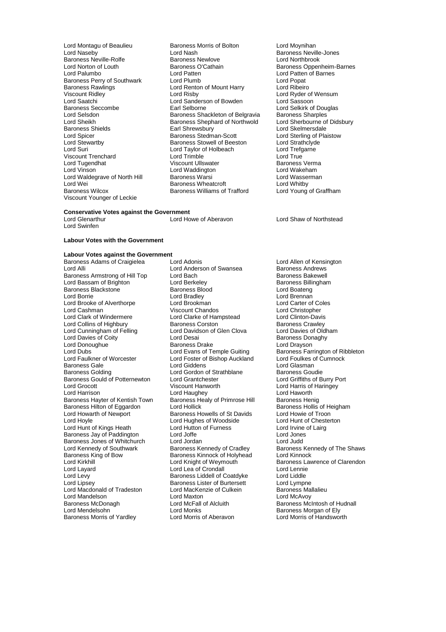Baroness Neville-Rolfe Baroness Newlove<br>
Lord Norton of Louth Baroness O'Cathain Baroness Rawlings<br>
Viscount Ridley<br>
Lord Risby<br>
Lord Risby Lord Saatchi Lord Sanderson of Bowden<br>
Baroness Seccombe<br>
Earl Selborne Viscount Trenchard Lord Trimble<br>
Lord Tugendhat Lord Tugendhat Viscount Ullswater Lord Wei Internal Baroness Wheatcroft<br>
Baroness Williams of Trafford<br>
Baroness Williams of Trafford Viscount Younger of Leckie

Lord Montagu of Beaulieu **Baroness Morris of Bolton** Lord Moynihan<br>
Lord Naseby **Baroness Nevil**<br>
Lord Nash Cord Saroness Nevil Lord Nash **Baroness Neville-Jones**<br>
Baroness Newlove **Baroness** Lord Northbrook Lord Norton of Louth **Baroness O'Cathain** Baroness Oppenheim-Barnes<br>
Lord Palumbo<br>
Lord Palumbo<br>
Lord Patten of Barnes Lord Patten **Lord Patten Communist Communist Communist Communist Communist Communist Communist Communist Communist Communist Communist Communist Communist Communist Communist Communist Communist Communist Communist Communi** Baroness Perry of Southwark Lord Plumb<br>
Lord Ranness Rawlings **Lord Cord Renton of Mount Harry** Lord Ribeiro Viscount Ridley **Contains Club Access Lord Risby** Lord Ryder of Wensum Lord Saatchi<br>
Lord Saatchi **Lord Sander Lord Contains Lord Contains Club** Lord Sassoon Baroness Seccombe **Earl Selborne** Earl Selborne Lord Selkirk of Douglas<br>
Lord Selsdon<br>
Lord Selsdon **Earl Selborness** Shackleton of Belgravia Baroness Sharples Lord Selsdon Baroness Shackleton of Belgravia<br>Lord Selsdon Baroness Shackleton of Belgravia Baroness Sharples<br>Lord Sheikh Baroness Shephard of Northwold Lord Sherbourne of Didsbury Lord Sheikh Baroness Shephard of Northwold<br>Baroness Shields Baroness Shephard of Northwold Baroness Shields **Earl Shrewsbury Lord Skelmersdale**<br>
Lord Spicer **Earl Shrewsbury Corporation**<br>
Baroness Stedman-Scott **Earl Lord Sterling of Plain** Lord Spicer **Baroness Stedman-Scott** Lord Sterling of Plaistow<br>
Lord Stewartby **Baroness Stowell of Beeston** Lord Strathclyde Lord Stewartby **Baroness Stowell of Beeston** Lord Strathclyde Lord Strathclyde Lord Taylor of Holbeach **Lord Trefgarne** Lord Taylor of Holbeach Lord Trefg<br>
Lord Trimble<br>
Lord True Lord Tugendhat Viscount Ullswater Baroness Verma Lord Waddington **Lord Wakeham**<br>
Baroness Warsi **Communist Construction Lord Wasserman** Lord Waldegrave of North Hill Baroness Warsi Cord Wasserved Wasserved Wasserved Baroness Wheatcroft Cord Whitby

#### **Conservative Votes against the Government**<br>Lord Glenarthur<br>Lord Howe of Aberavon

Lord Swinfen

**Labour Votes with the Government**

#### **Labour Votes against the Government**

Baroness Armstrong of Hill Top Lord Bach Communisty Baroness Bakewell<br>
Lord Bassam of Brighton Lord Berkeley Communisty Baroness Billingham Lord Bassam of Brighton Lord Berkeley Corporation and Baroness Billingham Baroness Billingham<br>Baroness Blackstone Baroness Blood Boatena Baroness Blackstone<br>
Lord Borrie Baroness Bloom<br>
Lord Bradley Lord Brooke of Alverthorpe Lord Brookman and Lord Carter of Colession Correspondent Lord Carter of Colession C<br>
Lord Cashman Chandos Correspondent Chandos Lord Christopher Lord Cashman **Lord Chandos**<br>
Lord Clark of Windermere **Lord Clarke of Hampstead** Lord Clinton-Davis Lord Collins of Highbury **Baroness Corston**<br>
Lord Cunningham of Felling **Baroness Corston Clorent Clova** Baroness Crawley<br>
Lord Davies of Oldham Lord Davies of Coity **Lord Desai Baroness Donaghy Cointing Cointing Cointing Cointing Cointing Cointing Cointi**<br>
Baroness Drake Lord Drayson<br>
Lord Drayson Lord Donoughue<br>
Lord Dubs<br>
Lord Evans of Temple Guiting Lord Dubs<br>Lord Eaulkner of Worcester Lord Evans of Temple Guiting Baroness Farrington of Ribbleton<br>Lord Faulkner of Worcester Lord Foster of Bishop Auckland Lord Foulkes of Cumnock Baroness Gale **Lord Giddens** Lord Giddens Lord Glasman Lord Glasman Lord Giddens Lord Ginan Lord Ginan Baroness Goudie Baroness Gould of Potternewton Lord Grantchester<br>
Lord Grocott Port Burry Port Port Authory Port Burry Port Burry Port Burry Port Burry Port Burry Port Burry P Lord Grocott Viscount Hanworth Lord Harris of Haringey Baroness Hayter of Kentish Town Baroness Healy of Primrose Hill Baroness Henig<br>Baroness Hilton of Eggardon Lord Hollick Baroness Hollis of Heigham Baroness Hilton of Eggardon Lord Hollick Baroness Hollis of Heigham Baroness Hollis of Heigham Baroness Howells of St Davids Lord Howie of Troon Lord Hoyle Lord Hughes of Woodside Lord Hunt of Chester<br>Lord Hunt of Kings Heath Lord Hutton of Furness Lord Irvine of Lairg Lord Hunt of Kings Heath Lord Hutton of Furness Cord Lord Irvine<br>
Baroness Jav of Paddington Lord Joffe Cord Lord Irvine Cord Jones Baroness Jay of Paddington Lord Joffe Lord Jones Baroness Jones of Whitchurch Lord Jordan<br>
Lord Kennedy of Southwark Baroness Kennedy of Cradley Lord Kennedy of Southwark Baroness Kennedy of Cradley Baroness Kennedy of The Shaws<br>Baroness King of Bow Baroness Kinnock of Holyhead Lord Kinnock Baroness King of Bow Baroness Kinnock of Holyhead<br>
Lord Kirkhill Cord Knight of Weymouth Lord Kirkhill Lord Knight of Weymouth Baroness Lawrence of Clarendon<br>
Lord Layard Lord Lea of Crondall Lord Lennie Lord Layard Lord Lea of Crondall Lord Lennie Lord Levy **Baroness Liddell of Coatdyke** Lord Liddle<br>
Lord Lipsev **Baroness Lister of Burtersett** Lord Lympne Lord Macdonald of Tradeston Lord MacKenzie of Culkein Baroness Mallalieur American Baroness Mallalieur America<br>Lord Mandelson Lord Maxton Lord Maxton Lord McAvoy Lord Mandelson Lord Maxton Lord McAvoy Baroness McDonagh **Lord McFall of Alcluith** Baroness McIntosh of Hudnall Lord McFall of Alcluith Baroness Mordan of Elv<br>
Lord Monks Cord Monks Baroness Mordan of Elv Baroness Morris of Yardley

Baroness Adams of Craigielea Lord Adonis<br>
Lord Anderson of Swansea Baroness Andrews<br>
Lord Andrews<br>
Lord Anderson of Swansea Baroness Andrews Lord Anderson of Swansea<br>
Lord Anderson of Swansea<br>
Baroness Bakewell Lord Bradley **Lord Brennan**<br>
Lord Brookman **Lord Carter of Coles** Lord Clarke of Hampstead Lord Clinton-Davis<br>Baroness Corston Baroness Crawley Lord Davidson of Glen Clova Lord Davies of Oldh<br>
Lord Desai Cord Baroness Donaghy Lord Foster of Bishop Auckland Lord Foulkes c<br>Lord Giddens Lord Clasman Lord Gordon of Strathblane Baroness Goudie<br>
Lord Grantchester
Lord Griffiths of Burry Port Lord Haughey **Lord Haworth**<br>Baroness Healy of Primrose Hill **Baroness Henig** Baroness Howells of St Davids<br>
Lord Huahes of Woodside<br>
Lord Hunt of Chesterton Lord Lipsey Baroness Lister of Burtersett Lord Lympne Lord Monks<br>
Lord Morris of Aberavon<br>
Lord Morris of Handsworth

Lord Young of Graffham

Lord Shaw of Northstead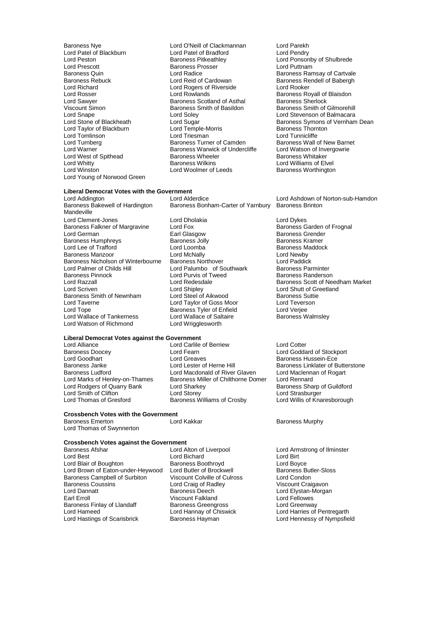Lord Patel of Blackburn Lord Patel of Bradford<br>
Lord Peston Cord Patel Baroness Pitkeathley Lord Prescott<br>
Baroness Quin<br>
Lord Radice Lord Richard Lord Rogers of Riverside Lord Rooker Lord Sawyer **Baroness Scotland of Asthal Baroness Scotland of Asthal** <br>
Viscount Simon **Baroness Smith of Basildon** Lord Taylor of Blackburn Lord Temple-Morris Lord Temple-Morris Lord Temple-Morris Thorntonness Thorntonness Th<br>Lord Triesman Lord West of Spithead Baroness Wheeler<br>Lord Whitty Baroness Wilkins Lord Young of Norwood Green

Baroness Nye Lord O'Neill of Clackmannan Lord Parekh Lord Peston Baroness Pitkeathley Lord Ponsonby of Shulbrede Extract the Saroness Quin<br>Baroness Quin Lord Radice Cardowan Baroness Ramsay of Cartvale<br>Baroness Rebuck Babergh Lord Reid of Cardowan Baroness Rendell of Babergh Baroness Rebuck **Reid of Cardowan** Baroness Rendell of Babergh<br>
Lord Richard **Lord Roof Cardowan** Baroness Rendell of Babergh<br>
Lord Rooker Lord Rosser **Lord Rowlands** Cord Rosser Education Lord Rosser Baroness Royall of Blaisdon<br>
Lord Sawyer **Baroness Scotland of Asthal** Baroness Sherlock Viscount Simon **Baroness Smith of Basildon** Baroness Smith of Gilmorehill<br>
Lord Snape **Baroness Smith of Basildon**<br>
Lord Stevenson of Balmacara Lord Snape Lord Soley Lord Soley Lord Stevenson of Balmacara<br>
Lord Stevenson of Balmacara<br>
Lord Stevenson Symons of Vernham<br>
Lord Stevenson Symons of Vernham Lord Tomlinson **Lord Triesman**<br>
Lord Tunnicliffe **Communication**<br>
Lord Turnberg **Communication**<br>
Baroness Wall of New Barnet Lord Turnberg **Baroness Turner of Camden** Baroness Wall of New Barnet Camden Baroness Wall of New Barnet Cambrer<br>
Baroness Warwick of Undercliffe Lord Watson of Invergowrie Exaroness Warwick of Undercliffe Lord Watson of Invergoness Wheeler Corresponding Baroness Whitaker Lord Whitty **Communist Communist Communist Communist Communist Communist Communist Communist Communist Communist Communist Communist Communist Communist Communist Communist Communist Communist Communist Communist Communist** Lord Woolmer of Leeds

## **Liberal Democrat Votes with the Government**

Mandeville Lord Clement-Jones **Lord Dholakia**<br>
Baroness Falkner of Margravine Lord Fox **Lord Dykes** Baroness Garden of Frognal Baroness Falkner of Margravine Lord Fox<br>Lord German Baroness Earl Glasgow Baroness Humphreys **Baroness Holly Baroness Humphreys** Baroness Kramer<br>
Baroness Maddock<br>
Lord Lee of Trafford **Baroness Lord Loomba** Lord Lee of Trafford **Communist Lord Loomba** Baroness Manuscular Baroness Manuscular Lord Newby<br>
Lord McNally Lord McNally Lord Mewby Baroness Manzoor **Lord Lord McNally** Lord Cord Cord Lord Newby<br>Baroness Nicholson of Winterbourne Baroness Northover **Lord Paddick** Baroness Nicholson of Winterbourne Baroness Northover Lord Paddick Lord Palmer of Childs Hill Lord Palumbo of Southwark Baroness Parminter<br>Baroness Pinnock Baroness Randerson Baroness Pinnock **Lord Purvis of Tweed Lord Randers**<br> **Lord Razzall** Baroness Smith of Newnham Lord Steel of Aikwood Baroness Suttiened Baroness Suttiened Baroness Suttiened Baroness Suttiened Baroness Suttiened Baroness Suttiened Baroness Suttiened Baroness Suttiened Baroness Suttiened Bar Lord Tayerne **Lord Taylor of Goss Moor** Cord Tevers<br>
Lord Tope **Cord Tope Cord Cord Cord Cord Cord Cord Cord Veriee**<br>
Baroness Tyler of Enfield Cord Veriee Lord Wallace of Tankerness Lord Wallace of Salt<br>
Lord Watson of Richmond Lord Wrigglesworth Lord Watson of Richmond

#### **Liberal Democrat Votes against the Government**

Lord Alliance Lord Carlile of Berriew Lord Cotter<br>
Baroness Doocey Lord Cord Fearn Lord Codda Baroness Doocey Lord Fearn Lord Goddard of Stockport Lord Goodhart <sup>T</sup> Ford Greaves Lord Greaves Baroness Hussein-Ece<br>
Baroness Janke The Lord Lester of Herne Hill Baroness Linklater of B Baroness Ludford **Lord Macdonald of River Glaven** Lord Maclennan Lord Maclennan Cord Maclennan Lord Rennard Cord Rennard Lord Rodgers of Quarry Bank<br>Lord Smith of Clifton Lord Smith of Clifton Lord Storey Lord Strasburger Lord Thomas of Gresford **Baroness Williams of Crosby** Lord Willis of Knaresborough

## **Crossbench Votes with the Government**

Baroness Emerton **Example 2** Lord Kakkar **Baroness Murphy** Lord Thomas of Swynnerton

## **Crossbench Votes against the Government**

Baroness Afshar **Exercise 2 Exercise Conducts** Lord Alton of Liverpool **Lord Armstrong of Ilminster**<br>
Lord Bichard
Lord Bichard
Lord Bichard
Lord Bichard
Lord Bichard
Lord Bichard
Lord Bichard
Lord Bichard
Lord Bichard
Lor Lord Blair of Boughton **Baroness Boothroyd** Cord Boyce<br>
Lord Brown of Eaton-under-Heywood Lord Butler of Brockwell **Baroness Butler-Sloss** Lord Brown of Eaton-under-Heywood Lord Butler of Brockwell Baroness Butler-Sloss Butler-Sloveness Butler-Sloss<br>Baroness Campbell of Surbiton Viscount Colville of Culross Lord Condon Baroness Campbell of Surbiton Viscount Colville of Culross Lord Condon<br>
Baroness Coussins Lord Craig of Radley Viscount Craigavon Baroness Coussins **Lord Craig of Radley Lord Dannatt** Craigavon Craigavon Craigavon Craigavon Craigavon Craigavo<br>
Craigavon Craigavon Craigavon Craigavon Craigavon Craigavon Craigavon Craigavon Craigavon Craigavon Craigavo Lord Dannatt Baroness Deech Lord Elystan-Morgan Baroness Finlay of Llandaff Baroness Greengross<br>
Lord Hameed Cord Hannay of Chiswick Lord Hastings of Scarisbrick

Lord Bichard<br>
Baroness Boothrovd<br>
Lord Boyce Viscount Falkland<br>
Baroness Greengross<br>
Lord Greenway

Lord Sugar **Coney Stone Communist Coney Symons of Vernham Dean**<br>
Lord Temple-Morris **Coney Symons Coney Symons Symons of Vernham Dean** 

Lord Addington Lord Alderdice Lord Ashdown of Norton-sub-Hamdon Baroness Bonham-Carter of Yarnbury Baroness Brinton

Earl Glasgow **Baroness Grender**<br>
Baroness Jolly **Baroness Kramer** Lord Razzall **Lord Redesdale Communist Communist Communist Communist Communist Communist Communist Communist Co<br>Lord Scriven Lord Shipley Communist Communist Communist Communist Communist Communist Communist Communist Comm** Lord Shipley<br>
Lord Steel of Aikwood<br>
Baroness Suttie Baroness Tyler of Enfield<br>
Lord Wallace of Saltaire<br>
Baroness Walmsley

Baroness Janke Lord Lester of Herne Hill Baroness Linklater of Butterstone<br>Baroness Ludford Lord Macdonald of River Glaven Lord Maclennan of Rogart Extra Marks Miller of Chilthorne Domer<br>Lord Sharkey Baroness Sharp of Guildford

Lord Hannay of Chiswick Lord Harries of Pentregarth<br>Baroness Hayman Lord Hennessy of Nympsfield